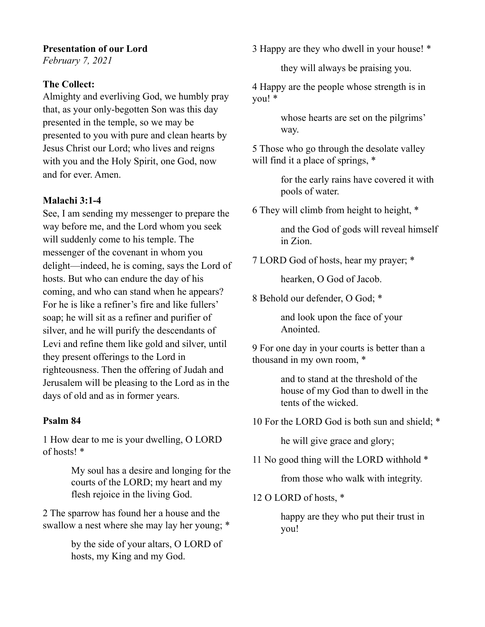## **Presentation of our Lord**

*February 7, 2021* 

## **The Collect:**

Almighty and everliving God, we humbly pray that, as your only-begotten Son was this day presented in the temple, so we may be presented to you with pure and clean hearts by Jesus Christ our Lord; who lives and reigns with you and the Holy Spirit, one God, now and for ever. Amen.

## **Malachi 3:1-4**

See, I am sending my messenger to prepare the way before me, and the Lord whom you seek will suddenly come to his temple. The messenger of the covenant in whom you delight—indeed, he is coming, says the Lord of hosts. But who can endure the day of his coming, and who can stand when he appears? For he is like a refiner's fire and like fullers' soap; he will sit as a refiner and purifier of silver, and he will purify the descendants of Levi and refine them like gold and silver, until they present offerings to the Lord in righteousness. Then the offering of Judah and Jerusalem will be pleasing to the Lord as in the days of old and as in former years.

#### **Psalm 84**

1 How dear to me is your dwelling, O LORD of hosts! \*

> My soul has a desire and longing for the courts of the LORD; my heart and my flesh rejoice in the living God.

2 The sparrow has found her a house and the swallow a nest where she may lay her young; \*

> by the side of your altars, O LORD of hosts, my King and my God.

3 Happy are they who dwell in your house! \*

they will always be praising you.

4 Happy are the people whose strength is in you! \*

> whose hearts are set on the pilgrims' way.

5 Those who go through the desolate valley will find it a place of springs,  $*$ 

> for the early rains have covered it with pools of water.

6 They will climb from height to height, \*

and the God of gods will reveal himself in Zion.

7 LORD God of hosts, hear my prayer; \*

hearken, O God of Jacob.

8 Behold our defender, O God; \*

and look upon the face of your Anointed.

9 For one day in your courts is better than a thousand in my own room, \*

> and to stand at the threshold of the house of my God than to dwell in the tents of the wicked.

10 For the LORD God is both sun and shield; \*

he will give grace and glory;

11 No good thing will the LORD withhold \*

from those who walk with integrity.

12 O LORD of hosts, \*

happy are they who put their trust in you!